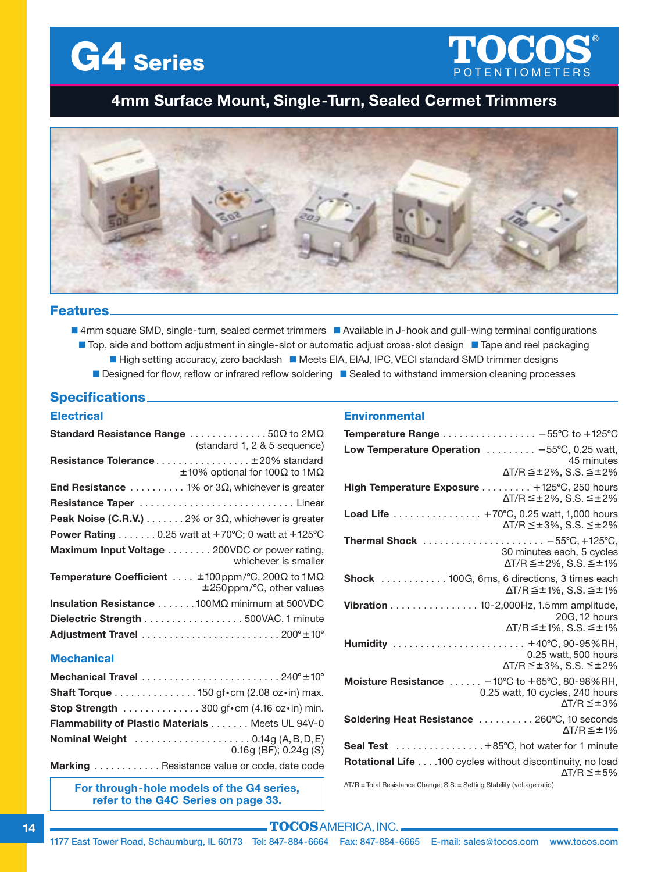



# **4mm Surface Mount, Single-Turn, Sealed Cermet Trimmers**



### **Features**

■ 4mm square SMD, single-turn, sealed cermet trimmers ■ Available in J-hook and gull-wing terminal configurations ■ Top, side and bottom adjustment in single-slot or automatic adjust cross-slot design ■ Tape and reel packaging

- High setting accuracy, zero backlash Meets EIA, EIAJ, IPC, VECI standard SMD trimmer designs
- **n** Designed for flow, reflow or infrared reflow soldering **n** Sealed to withstand immersion cleaning processes

# **Specifications**

### **Electrical**

| <b>Standard Resistance Range</b> 50 $\Omega$ to 2M $\Omega$<br>(standard 1, 2 & 5 sequence)              |
|----------------------------------------------------------------------------------------------------------|
| <b>Resistance Tolerance ±20% standard</b><br>$\pm 10\%$ optional for 100 $\Omega$ to 1M $\Omega$         |
| <b>End Resistance</b> 1% or 3 $\Omega$ , whichever is greater                                            |
|                                                                                                          |
| <b>Peak Noise (C.R.V.)</b> $\ldots \ldots 2\%$ or 3 $\Omega$ , whichever is greater                      |
| Power Rating $\ldots \ldots 0.25$ watt at +70°C; 0 watt at +125°C                                        |
| Maximum Input Voltage 200VDC or power rating,<br>whichever is smaller                                    |
| <b>Temperature Coefficient</b> $\pm$ 100 ppm/°C, 200 $\Omega$ to 1M $\Omega$<br>±250ppm/°C, other values |
| Insulation Resistance 100ΜΩ minimum at 500VDC                                                            |
| Dielectric Strength 500VAC, 1 minute                                                                     |
|                                                                                                          |

### **Mechanical**

| <b>Shaft Torque</b> 150 qf · cm (2.08 oz · in) max.                       |
|---------------------------------------------------------------------------|
| <b>Stop Strength</b> 300 gf · cm $(4.16 \text{ oz} \cdot \text{in})$ min. |
| <b>Flammability of Plastic Materials  Meets UL 94V-0</b>                  |
| <b>Nominal Weight</b> 0.14g (A, B, D, E)<br>$0.16q$ (BF); $0.24q$ (S)     |
|                                                                           |

**Marking** . . . . . . . . . . . . Resistance value or code, date code

**For through-hole models of the G4 series, refer to the G4C Series on page 33.**

### **Environmental**

| Temperature Range - 55°C to +125°C                                                                                                   |
|--------------------------------------------------------------------------------------------------------------------------------------|
| Low Temperature Operation  -55°C, 0.25 watt,<br>45 minutes<br>$\Delta$ T/R $\leq$ ±2%. S.S. $\leq$ ±2%                               |
| High Temperature Exposure +125°C, 250 hours<br>$\Delta T/R \leq \pm 2\%$ , S.S. $\leq \pm 2\%$                                       |
| Load Life +70°C, 0.25 watt, 1,000 hours<br>$\Delta T/R \leq \pm 3\%$ , S.S. $\leq \pm 2\%$                                           |
| 30 minutes each, 5 cycles<br>$\Delta T/R \leq \pm 2\%$ , S.S. $\leq \pm 1\%$                                                         |
| Shock  100G, 6ms, 6 directions, 3 times each<br>$\Delta T/R \leq \pm 1\%$ , S.S. $\leq \pm 1\%$                                      |
| Vibration 10-2,000Hz, 1.5mm amplitude,<br>20G, 12 hours<br>$\Delta T/R \leq \pm 1\%$ , S.S. $\leq \pm 1\%$                           |
| Humidity  +40°C, 90-95%RH,<br>0.25 watt, 500 hours<br>$\Delta$ T/R $\leq$ ±3%. S.S. $\leq$ ±2%                                       |
| Moisture Resistance $\ldots \ldots -10^{\circ}C$ to +65°C, 80-98%RH,<br>0.25 watt, 10 cycles, 240 hours<br>$\Delta T/R \leq \pm 3\%$ |
| Soldering Heat Resistance  260°C, 10 seconds<br>$\Delta T/R \leq \pm 1\%$                                                            |
| Seal Test +85°C, hot water for 1 minute                                                                                              |
| Rotational Life 100 cycles without discontinuity, no load<br>$\Delta T/R \leq \pm 5\%$                                               |
| $\Delta T/R$ = Total Resistance Change: S.S. = Setting Stability (voltage ratio)                                                     |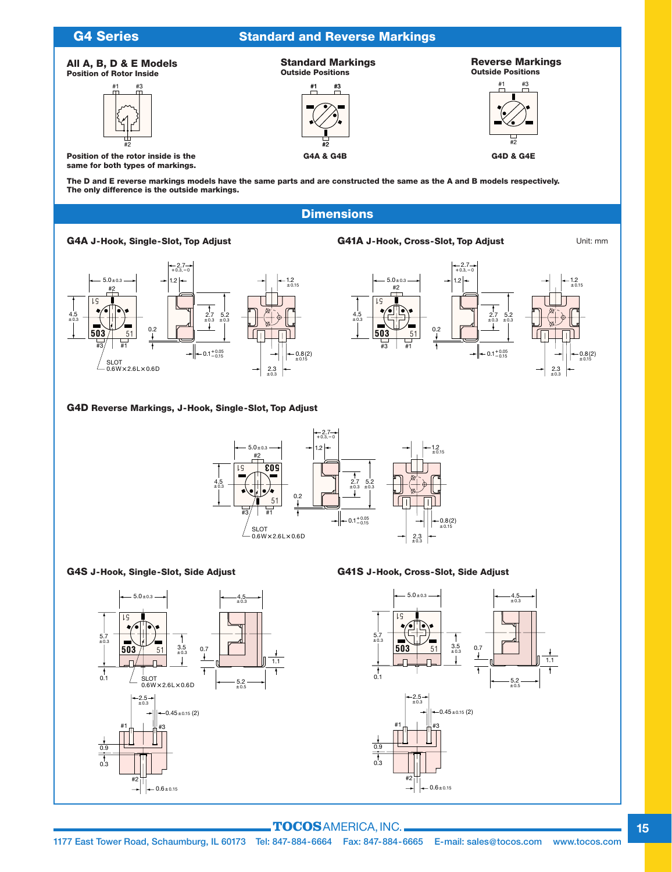

**The D and E reverse markings models have the same parts and are constructed the same as the A and B models respectively. The only difference is the outside markings.**

# **Dimensions**

### **G4A J-Hook, Single-Slot, Top Adjust G41A J-Hook, Cross-Slot, Top Adjust**

Unit: mm





### **G4D Reverse Markings, J-Hook, Single-Slot, Top Adjust**



### **G4S J-Hook, Single-Slot, Side Adjust G41S J-Hook, Cross-Slot, Side Adjust**



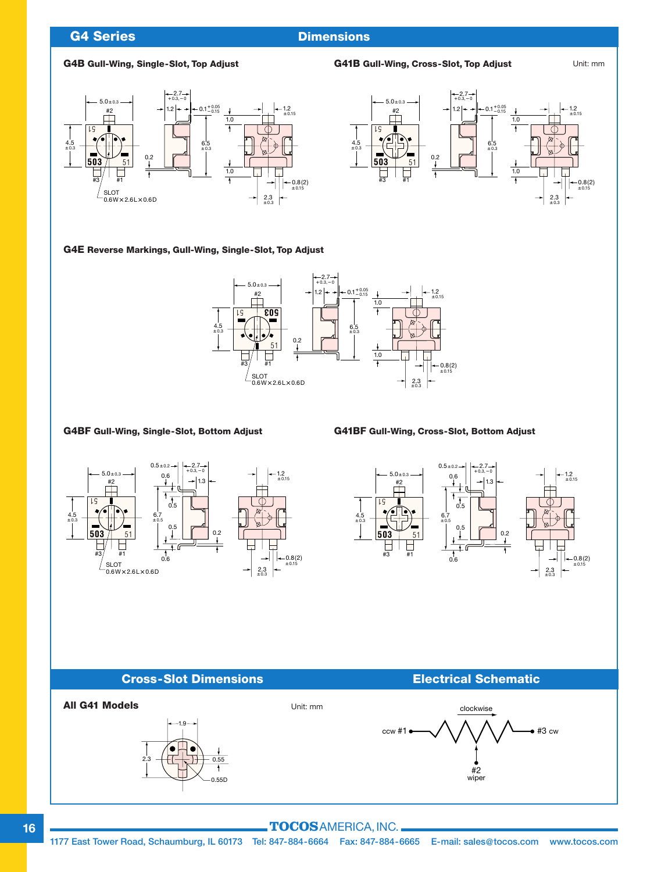## **G4 Series Dimensions**

### **G4B Gull-Wing, Single-Slot, Top Adjust G41B Gull-Wing, Cross-Slot, Top Adjust**





Unit: mm

### **G4E Reverse Markings, Gull-Wing, Single-Slot, Top Adjust**



### **G4BF Gull-Wing, Single-Slot, Bottom Adjust G41BF Gull-Wing, Cross-Slot, Bottom Adjust**





### **Cross-Slot Dimensions Electrical Schematic**



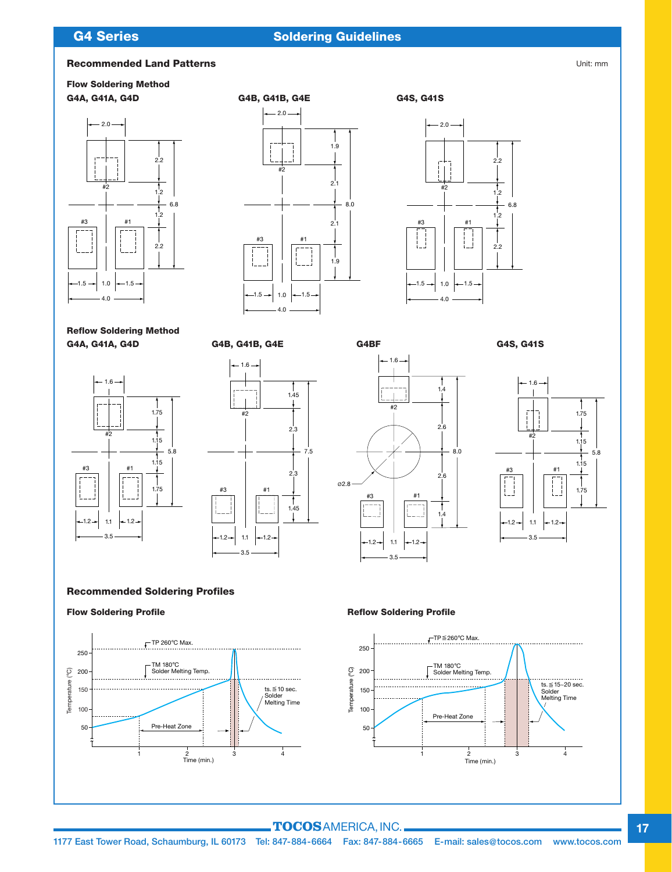# **G4 Series**

## **CA Series Dimensions CA Soldering Guidelines**

### **Recommended Land Patterns**

# **Flow Soldering Method**







**Reflow Soldering Method G4A, G41A, G4D G4B, G41B, G4E G4BF G4S, G41S**









**Recommended Soldering Profiles**



**Flow Soldering Profile Reflow Soldering Profile**



### **TOCOS**AMERICA,INC.

Unit: mm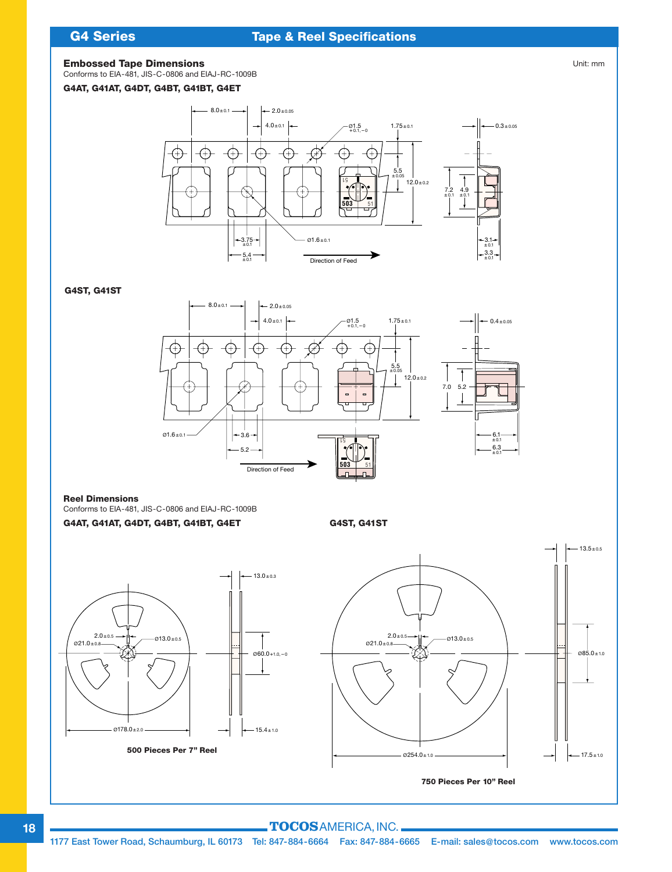# **G4 Series**

# **Tape & Reel Specifications**

### **Embossed Tape Dimensions**

Conforms to EIA-481, JIS-C-0806 and EIAJ-RC-1009B

### **G4AT, G41AT, G4DT, G4BT, G41BT, G4ET**



**G4ST, G41ST**



### **Reel Dimensions**

Conforms to EIA-481, JIS-C-0806 and EIAJ-RC-1009B **G4AT, G41AT, G4DT, G4BT, G41BT, G4ET G4ST, G41ST**



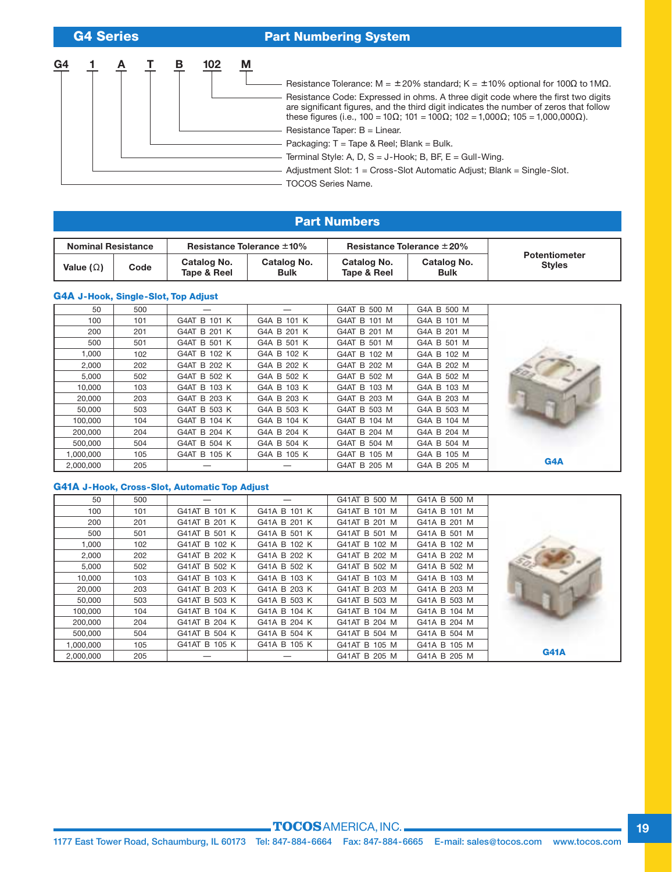**G4 Series**

### **Part Numbering System**





Packaging: T = Tape & Reel; Blank = Bulk.

Terminal Style: A, D, S = J-Hook; B, BF, E = Gull-Wing.

Adjustment Slot: 1 = Cross-Slot Automatic Adjust; Blank = Single-Slot.

TOCOS Series Name.

### **Part Numbers**

| <b>Nominal Resistance</b> |      | Resistance Tolerance $\pm 10\%$ |                            | Resistance Tolerance $\pm 20\%$ |                            |                                       |
|---------------------------|------|---------------------------------|----------------------------|---------------------------------|----------------------------|---------------------------------------|
| Value ( $\Omega$ )        | Code | Catalog No.<br>Tape & Reel      | Catalog No.<br><b>Bulk</b> | Catalog No.<br>Tape & Reel      | Catalog No.<br><b>Bulk</b> | <b>Potentiometer</b><br><b>Styles</b> |

### **G4A J-Hook, Single-Slot, Top Adjust**

| 50        | 500 |              |             | G4AT B 500 M | G4A B 500 M |                  |
|-----------|-----|--------------|-------------|--------------|-------------|------------------|
| 100       | 101 | G4AT B 101 K | G4A B 101 K | G4AT B 101 M | G4A B 101 M |                  |
| 200       | 201 | G4AT B 201 K | G4A B 201 K | G4AT B 201 M | G4A B 201 M |                  |
| 500       | 501 | G4AT B 501 K | G4A B 501 K | G4AT B 501 M | G4A B 501 M |                  |
| 1,000     | 102 | G4AT B 102 K | G4A B 102 K | G4AT B 102 M | G4A B 102 M |                  |
| 2,000     | 202 | G4AT B 202 K | G4A B 202 K | G4AT B 202 M | G4A B 202 M |                  |
| 5,000     | 502 | G4AT B 502 K | G4A B 502 K | G4AT B 502 M | G4A B 502 M |                  |
| 10,000    | 103 | G4AT B 103 K | G4A B 103 K | G4AT B 103 M | G4A B 103 M |                  |
| 20,000    | 203 | G4AT B 203 K | G4A B 203 K | G4AT B 203 M | G4A B 203 M |                  |
| 50,000    | 503 | G4AT B 503 K | G4A B 503 K | G4AT B 503 M | G4A B 503 M |                  |
| 100,000   | 104 | G4AT B 104 K | G4A B 104 K | G4AT B 104 M | G4A B 104 M |                  |
| 200,000   | 204 | G4AT B 204 K | G4A B 204 K | G4AT B 204 M | G4A B 204 M |                  |
| 500,000   | 504 | G4AT B 504 K | G4A B 504 K | G4AT B 504 M | G4A B 504 M |                  |
| 1,000,000 | 105 | G4AT B 105 K | G4A B 105 K | G4AT B 105 M | G4A B 105 M |                  |
| 2,000,000 | 205 |              |             | G4AT B 205 M | G4A B 205 M | G <sub>4</sub> A |

### **G41A J-Hook, Cross-Slot, Automatic Top Adjust**

| 50        | 500 |               |              | G41AT B 500 M | G41A B 500 M |             |
|-----------|-----|---------------|--------------|---------------|--------------|-------------|
| 100       | 101 | G41AT B 101 K | G41A B 101 K | G41AT B 101 M | G41A B 101 M |             |
| 200       | 201 | G41AT B 201 K | G41A B 201 K | G41AT B 201 M | G41A B 201 M |             |
| 500       | 501 | G41AT B 501 K | G41A B 501 K | G41AT B 501 M | G41A B 501 M |             |
| 1,000     | 102 | G41AT B 102 K | G41A B 102 K | G41AT B 102 M | G41A B 102 M |             |
| 2,000     | 202 | G41AT B 202 K | G41A B 202 K | G41AT B 202 M | G41A B 202 M |             |
| 5,000     | 502 | G41AT B 502 K | G41A B 502 K | G41AT B 502 M | G41A B 502 M |             |
| 10,000    | 103 | G41AT B 103 K | G41A B 103 K | G41AT B 103 M | G41A B 103 M |             |
| 20,000    | 203 | G41AT B 203 K | G41A B 203 K | G41AT B 203 M | G41A B 203 M |             |
| 50,000    | 503 | G41AT B 503 K | G41A B 503 K | G41AT B 503 M | G41A B 503 M |             |
| 100,000   | 104 | G41AT B 104 K | G41A B 104 K | G41AT B 104 M | G41A B 104 M |             |
| 200,000   | 204 | G41AT B 204 K | G41A B 204 K | G41AT B 204 M | G41A B 204 M |             |
| 500,000   | 504 | G41AT B 504 K | G41A B 504 K | G41AT B 504 M | G41A B 504 M |             |
| 1,000,000 | 105 | G41AT B 105 K | G41A B 105 K | G41AT B 105 M | G41A B 105 M |             |
| 2,000,000 | 205 |               |              | G41AT B 205 M | G41A B 205 M | <b>G41A</b> |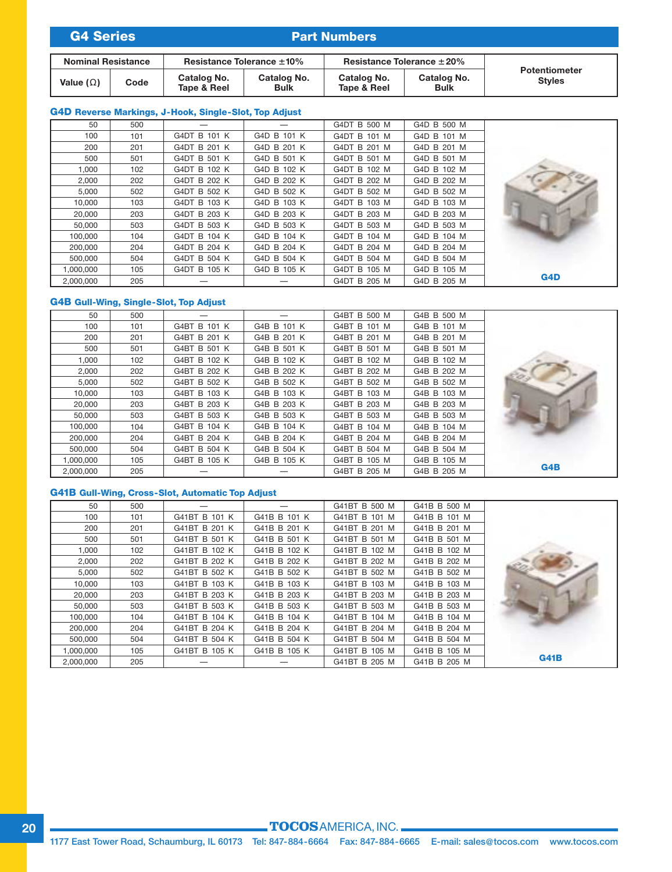| <b>G4 Series</b>          |      | <b>Part Numbers</b>        |                            |                                 |                            |                                       |  |
|---------------------------|------|----------------------------|----------------------------|---------------------------------|----------------------------|---------------------------------------|--|
| <b>Nominal Resistance</b> |      | Resistance Tolerance ±10%  |                            | Resistance Tolerance $\pm 20\%$ |                            |                                       |  |
| Value ( $\Omega$ )        | Code | Catalog No.<br>Tape & Reel | Catalog No.<br><b>Bulk</b> | Catalog No.<br>Tape & Reel      | Catalog No.<br><b>Bulk</b> | <b>Potentiometer</b><br><b>Styles</b> |  |

### **G4D Reverse Markings, J-Hook, Single-Slot, Top Adjust**

|     | G4D B 500 M | G4DT B 500 M |             |              | 500 | 50        |
|-----|-------------|--------------|-------------|--------------|-----|-----------|
|     | G4D B 101 M | G4DT B 101 M | G4D B 101 K | G4DT B 101 K | 101 | 100       |
|     | G4D B 201 M | G4DT B 201 M | G4D B 201 K | G4DT B 201 K | 201 | 200       |
|     | G4D B 501 M | G4DT B 501 M | G4D B 501 K | G4DT B 501 K | 501 | 500       |
|     | G4D B 102 M | G4DT B 102 M | G4D B 102 K | G4DT B 102 K | 102 | 1.000     |
|     | G4D B 202 M | G4DT B 202 M | G4D B 202 K | G4DT B 202 K | 202 | 2,000     |
|     | G4D B 502 M | G4DT B 502 M | G4D B 502 K | G4DT B 502 K | 502 | 5,000     |
|     | G4D B 103 M | G4DT B 103 M | G4D B 103 K | G4DT B 103 K | 103 | 10,000    |
|     | G4D B 203 M | G4DT B 203 M | G4D B 203 K | G4DT B 203 K | 203 | 20,000    |
|     | G4D B 503 M | G4DT B 503 M | G4D B 503 K | G4DT B 503 K | 503 | 50,000    |
|     | G4D B 104 M | G4DT B 104 M | G4D B 104 K | G4DT B 104 K | 104 | 100.000   |
|     | G4D B 204 M | G4DT B 204 M | G4D B 204 K | G4DT B 204 K | 204 | 200,000   |
|     | G4D B 504 M | G4DT B 504 M | G4D B 504 K | G4DT B 504 K | 504 | 500.000   |
|     | G4D B 105 M | G4DT B 105 M | G4D B 105 K | G4DT B 105 K | 105 | 1,000,000 |
| G4D | G4D B 205 M | G4DT B 205 M |             |              | 205 | 2.000.000 |

### **G4B Gull-Wing, Single-Slot, Top Adjust**

| 50        | 500 |              |             | G4BT B 500 M | G4B B 500 M |     |
|-----------|-----|--------------|-------------|--------------|-------------|-----|
| 100       | 101 | G4BT B 101 K | G4B B 101 K | G4BT B 101 M | G4B B 101 M |     |
| 200       | 201 | G4BT B 201 K | G4B B 201 K | G4BT B 201 M | G4B B 201 M |     |
| 500       | 501 | G4BT B 501 K | G4B B 501 K | G4BT B 501 M | G4B B 501 M |     |
| 1.000     | 102 | G4BT B 102 K | G4B B 102 K | G4BT B 102 M | G4B B 102 M |     |
| 2,000     | 202 | G4BT B 202 K | G4B B 202 K | G4BT B 202 M | G4B B 202 M |     |
| 5,000     | 502 | G4BT B 502 K | G4B B 502 K | G4BT B 502 M | G4B B 502 M |     |
| 10,000    | 103 | G4BT B 103 K | G4B B 103 K | G4BT B 103 M | G4B B 103 M |     |
| 20,000    | 203 | G4BT B 203 K | G4B B 203 K | G4BT B 203 M | G4B B 203 M |     |
| 50,000    | 503 | G4BT B 503 K | G4B B 503 K | G4BT B 503 M | G4B B 503 M |     |
| 100,000   | 104 | G4BT B 104 K | G4B B 104 K | G4BT B 104 M | G4B B 104 M |     |
| 200,000   | 204 | G4BT B 204 K | G4B B 204 K | G4BT B 204 M | G4B B 204 M |     |
| 500,000   | 504 | G4BT B 504 K | G4B B 504 K | G4BT B 504 M | G4B B 504 M |     |
| 1,000,000 | 105 | G4BT B 105 K | G4B B 105 K | G4BT B 105 M | G4B B 105 M |     |
| 2,000,000 | 205 |              |             | G4BT B 205 M | G4B B 205 M | GAB |

### **G41B Gull-Wing, Cross-Slot, Automatic Top Adjust**

| 50        | 500 |               |              | G41BT B 500 M | G41B B 500 M |             |
|-----------|-----|---------------|--------------|---------------|--------------|-------------|
| 100       | 101 | G41BT B 101 K | G41B B 101 K | G41BT B 101 M | G41B B 101 M |             |
| 200       | 201 | G41BT B 201 K | G41B B 201 K | G41BT B 201 M | G41B B 201 M |             |
| 500       | 501 | G41BT B 501 K | G41B B 501 K | G41BT B 501 M | G41B B 501 M |             |
| 1,000     | 102 | G41BT B 102 K | G41B B 102 K | G41BT B 102 M | G41B B 102 M |             |
| 2,000     | 202 | G41BT B 202 K | G41B B 202 K | G41BT B 202 M | G41B B 202 M |             |
| 5,000     | 502 | G41BT B 502 K | G41B B 502 K | G41BT B 502 M | G41B B 502 M |             |
| 10,000    | 103 | G41BT B 103 K | G41B B 103 K | G41BT B 103 M | G41B B 103 M |             |
| 20,000    | 203 | G41BT B 203 K | G41B B 203 K | G41BT B 203 M | G41B B 203 M |             |
| 50,000    | 503 | G41BT B 503 K | G41B B 503 K | G41BT B 503 M | G41B B 503 M |             |
| 100.000   | 104 | G41BT B 104 K | G41B B 104 K | G41BT B 104 M | G41B B 104 M |             |
| 200,000   | 204 | G41BT B 204 K | G41B B 204 K | G41BT B 204 M | G41B B 204 M |             |
| 500,000   | 504 | G41BT B 504 K | G41B B 504 K | G41BT B 504 M | G41B B 504 M |             |
| 1,000,000 | 105 | G41BT B 105 K | G41B B 105 K | G41BT B 105 M | G41B B 105 M |             |
| 2,000,000 | 205 |               |              | G41BT B 205 M | G41B B 205 M | <b>G41B</b> |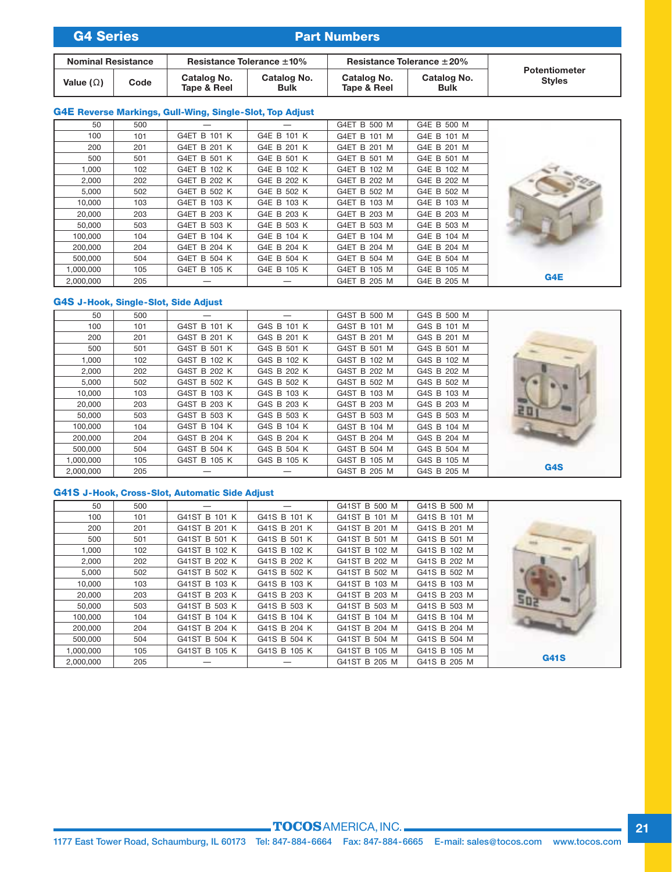| <b>G4 Series</b>          |      | <b>Part Numbers</b>             |                            |                                 |                            |                                       |
|---------------------------|------|---------------------------------|----------------------------|---------------------------------|----------------------------|---------------------------------------|
| <b>Nominal Resistance</b> |      | Resistance Tolerance $\pm 10\%$ |                            | Resistance Tolerance $\pm 20\%$ |                            |                                       |
| Value ( $\Omega$ )        | Code | Catalog No.<br>Tape & Reel      | Catalog No.<br><b>Bulk</b> | Catalog No.<br>Tape & Reel      | Catalog No.<br><b>Bulk</b> | <b>Potentiometer</b><br><b>Styles</b> |

### **G4E Reverse Markings, Gull-Wing, Single-Slot, Top Adjust**

|     | G4E B 500 M | G4ET B 500 M |             |              | 500 | 50        |
|-----|-------------|--------------|-------------|--------------|-----|-----------|
|     | G4E B 101 M | G4ET B 101 M | G4E B 101 K | G4ET B 101 K | 101 | 100       |
|     | G4E B 201 M | G4ET B 201 M | G4E B 201 K | G4ET B 201 K | 201 | 200       |
|     | G4E B 501 M | G4ET B 501 M | G4E B 501 K | G4ET B 501 K | 501 | 500       |
|     | G4E B 102 M | G4ET B 102 M | G4E B 102 K | G4ET B 102 K | 102 | 1,000     |
|     | G4E B 202 M | G4ET B 202 M | G4E B 202 K | G4ET B 202 K | 202 | 2,000     |
|     | G4E B 502 M | G4ET B 502 M | G4E B 502 K | G4ET B 502 K | 502 | 5,000     |
|     | G4E B 103 M | G4ET B 103 M | G4E B 103 K | G4ET B 103 K | 103 | 10,000    |
|     | G4E B 203 M | G4ET B 203 M | G4E B 203 K | G4ET B 203 K | 203 | 20,000    |
|     | G4E B 503 M | G4ET B 503 M | G4E B 503 K | G4ET B 503 K | 503 | 50.000    |
|     | G4E B 104 M | G4ET B 104 M | G4E B 104 K | G4ET B 104 K | 104 | 100,000   |
|     | G4E B 204 M | G4ET B 204 M | G4E B 204 K | G4ET B 204 K | 204 | 200,000   |
|     | G4E B 504 M | G4ET B 504 M | G4E B 504 K | G4ET B 504 K | 504 | 500,000   |
|     | G4E B 105 M | G4ET B 105 M | G4E B 105 K | G4ET B 105 K | 105 | 1,000,000 |
| G4E | G4E B 205 M | G4ET B 205 M |             |              | 205 | 2,000,000 |

### **G4S J-Hook, Single-Slot, Side Adjust**

| 50        | 500 |              |             | G4ST B 500 M | G4S B 500 M |                  |
|-----------|-----|--------------|-------------|--------------|-------------|------------------|
| 100       | 101 | G4ST B 101 K | G4S B 101 K | G4ST B 101 M | G4S B 101 M |                  |
| 200       | 201 | G4ST B 201 K | G4S B 201 K | G4ST B 201 M | G4S B 201 M |                  |
| 500       | 501 | G4ST B 501 K | G4S B 501 K | G4ST B 501 M | G4S B 501 M |                  |
| 1.000     | 102 | G4ST B 102 K | G4S B 102 K | G4ST B 102 M | G4S B 102 M |                  |
| 2,000     | 202 | G4ST B 202 K | G4S B 202 K | G4ST B 202 M | G4S B 202 M |                  |
| 5,000     | 502 | G4ST B 502 K | G4S B 502 K | G4ST B 502 M | G4S B 502 M |                  |
| 10,000    | 103 | G4ST B 103 K | G4S B 103 K | G4ST B 103 M | G4S B 103 M |                  |
| 20,000    | 203 | G4ST B 203 K | G4S B 203 K | G4ST B 203 M | G4S B 203 M |                  |
| 50,000    | 503 | G4ST B 503 K | G4S B 503 K | G4ST B 503 M | G4S B 503 M | ₹D               |
| 100.000   | 104 | G4ST B 104 K | G4S B 104 K | G4ST B 104 M | G4S B 104 M |                  |
| 200,000   | 204 | G4ST B 204 K | G4S B 204 K | G4ST B 204 M | G4S B 204 M |                  |
| 500,000   | 504 | G4ST B 504 K | G4S B 504 K | G4ST B 504 M | G4S B 504 M |                  |
| 1,000,000 | 105 | G4ST B 105 K | G4S B 105 K | G4ST B 105 M | G4S B 105 M |                  |
| 2,000,000 | 205 |              |             | G4ST B 205 M | G4S B 205 M | G <sub>4</sub> S |

### **G41S J-Hook, Cross-Slot, Automatic Side Adjust**

| 50        | 500 |               |              | G41ST B 500 M | G41S B 500 M |             |
|-----------|-----|---------------|--------------|---------------|--------------|-------------|
| 100       | 101 | G41ST B 101 K | G41S B 101 K | G41ST B 101 M | G41S B 101 M |             |
| 200       | 201 | G41ST B 201 K | G41S B 201 K | G41ST B 201 M | G41S B 201 M |             |
| 500       | 501 | G41ST B 501 K | G41S B 501 K | G41ST B 501 M | G41S B 501 M |             |
| 1.000     | 102 | G41ST B 102 K | G41S B 102 K | G41ST B 102 M | G41S B 102 M |             |
| 2,000     | 202 | G41ST B 202 K | G41S B 202 K | G41ST B 202 M | G41S B 202 M |             |
| 5,000     | 502 | G41ST B 502 K | G41S B 502 K | G41ST B 502 M | G41S B 502 M |             |
| 10,000    | 103 | G41ST B 103 K | G41S B 103 K | G41ST B 103 M | G41S B 103 M |             |
| 20,000    | 203 | G41ST B 203 K | G41S B 203 K | G41ST B 203 M | G41S B 203 M |             |
| 50,000    | 503 | G41ST B 503 K | G41S B 503 K | G41ST B 503 M | G41S B 503 M |             |
| 100.000   | 104 | G41ST B 104 K | G41S B 104 K | G41ST B 104 M | G41S B 104 M |             |
| 200,000   | 204 | G41ST B 204 K | G41S B 204 K | G41ST B 204 M | G41S B 204 M |             |
| 500,000   | 504 | G41ST B 504 K | G41S B 504 K | G41ST B 504 M | G41S B 504 M |             |
| 1,000,000 | 105 | G41ST B 105 K | G41S B 105 K | G41ST B 105 M | G41S B 105 M |             |
| 2,000,000 | 205 |               |              | G41ST B 205 M | G41S B 205 M | <b>G41S</b> |